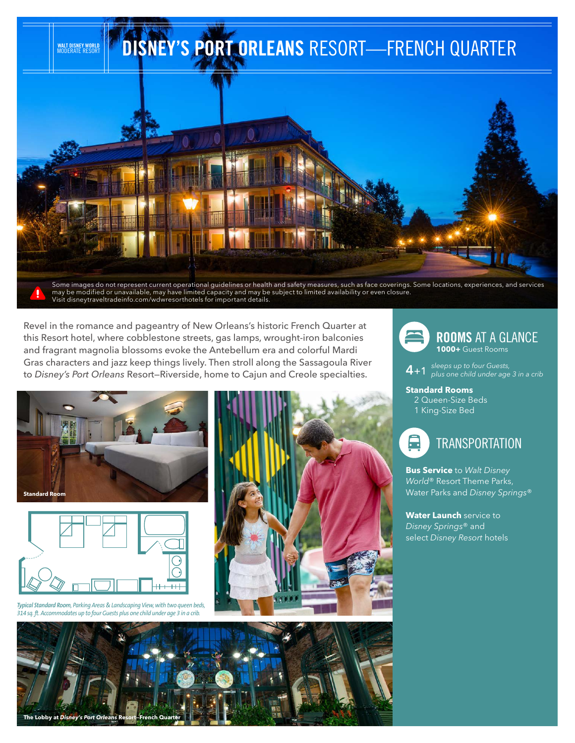

Some images do not represent current operational guidelines or health and safety measures, such as face coverings. Some locations, experiences, and services may be modified or unavailable, may have limited capacity and may be subject to limited availability or even closure. Visit disneytraveltradeinfo.com/wdwresorthotels for important details.

Revel in the romance and pageantry of New Orleans's historic French Quarter at this Resort hotel, where cobblestone streets, gas lamps, wrought-iron balconies and fragrant magnolia blossoms evoke the Antebellum era and colorful Mardi Gras characters and jazz keep things lively. Then stroll along the Sassagoula River to *Disney's Port Orleans* Resort—Riverside, home to Cajun and Creole specialties.





*Typical Standard Room, Parking Areas & Landscaping View, with two queen beds, 314 sq. ft. Accommodates up to four Guests plus one child under age 3 in a crib.*





**4**+1 *sleeps up to four Guests, plus one child under age 3 in a crib* 

**Standard Rooms** 2 Queen-Size Beds 1 King-Size Bed



**Bus Service** to *Walt Disney World*® Resort Theme Parks, Water Parks and *Disney Springs*®

**Water Launch** service to *Disney Springs*® and select *Disney Resort* hotels